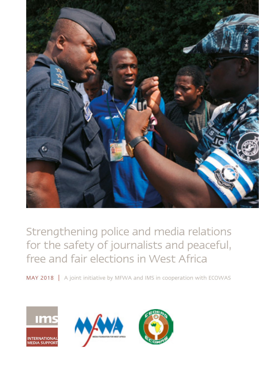

Strengthening police and media relations for the safety of journalists and peaceful, free and fair elections in West Africa

 $\textsf{MAX 2018 } |$  A joint initiative by MFWA and IMS in cooperation with ECOWAS

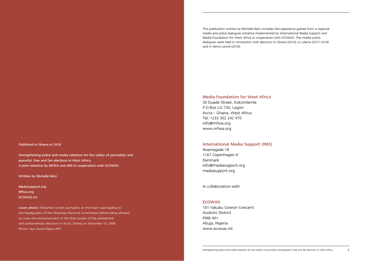Published in Ghana in 2018

Strengthening police and media relations for the safety of journalists and peaceful, free and fair elections in West Africa. *A joint initiative by MFWA and IMS in cooperation with ECOWAS.* 

#### Written by Michelle Betz

Mediasupport.org Mfwa.org ECOWAS.int

Cover photo: Policemen screen journalists at the main road leading to the headquaters of the Ghanaian Electoral Commission before being allowed to cover the announcement of the final results of the presidential and parliamentary elections in Accra, Ghana on December 10, 2008. Photo: Pius Utomi Ekpei /AFP

This publication written by Michelle Betz compiles the experience gained from a regional media and police dialogues initiative implemented by International Media Support and Media Foundation for West Africa in cooperation with ECOWAS. The media-police dialogues were held in connection with elections in Ghana (2016), in Liberia (2017-2018) and in Sierra Leone (2018).

Media Foundation for West Africa

30 Duade Street, Kokomlemle P.O.Box LG 730, Legon Accra - Ghana, West Africa Tel: +233 302 242 470 info@mfwa.org www.mfwa.org

#### International Media Support (IMS)

Noerregade 18 1167 Copenhagen K Denmark info@mediasupport.org [mediasupport.org](http://www.mediasupport.org)

*In collaboration with*

#### **ECOWAS**

101 Yakubu Gowon Crescent Asokoro District PMB 401 Abuja, Nigeria www.ecowas.int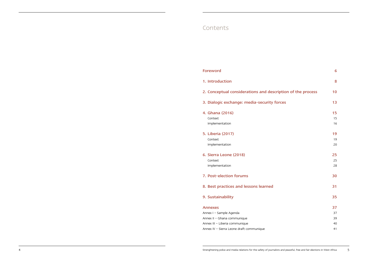## Contents

| Foreword                                                                                            | 6                    |
|-----------------------------------------------------------------------------------------------------|----------------------|
| 1. Introduction                                                                                     | 8                    |
| 2. Conceptual considerations and description of the process                                         | 10                   |
| 3. Dialogic exchange: media-security forces                                                         | 13                   |
| 4. Ghana (2016)<br>Context<br>Implementation                                                        | 15<br>15<br>16       |
| 5. Liberia (2017)<br>Context<br>Implementation                                                      | 19<br>19<br>20       |
| 6. Sierra Leone (2018)<br>Context<br>Implementation                                                 | 25<br>25<br>28       |
| 7. Post-election forums                                                                             | 30                   |
| 8. Best practices and lessons learned                                                               | 31                   |
| 9. Sustainability                                                                                   | 35                   |
| Annexes<br>Annex I - Sample Agenda<br>Annex II - Ghana communique<br>Annex III - Liberia communique | 37<br>37<br>39<br>40 |
| Annex IV - Sierra Leone draft communique                                                            | 41                   |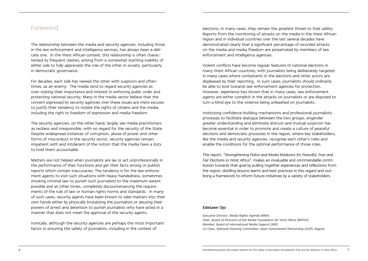## <span id="page-3-0"></span>Foreword

The relationship between the media and security agencies, including those in the law enforcement and intelligence services, has always been a delicate one. In the West African context, this relationship is often characterized by frequent clashes, arising from a somewhat startling inability of either side to fully appreciate the role of the other in society, particularly in democratic governance.

For decades, each side has viewed the other with suspicion and oftentimes, as an enemy. The media tend to regard security agencies as over-stating their importance and interest in enforcing public order and protecting national security. Many in the media sector believe that the concern expressed by security agencies over these issues are mere excuses to justify their tendency to violate the rights of citizens and the media, including the right to freedom of expression and media freedom.

The security agencies, on the other hand, largely see media practitioners as reckless and irresponsible, with no regard for the security of the State. Despite widespread instances of corruption, abuse of power and other forms of misconduct in the security sector, security agencies remain impatient with and intolerant of the notion that the media have a duty to hold them accountable.

Matters are not helped when journalists are lax or act unprofessionally in the performance of their functions and get their facts wrong or publish reports which contain inaccuracies. The tendency is for the law enforcement agents to visit such situations with heavy-handedness, sometimes invoking criminal law to punish such journalists to the maximum extent possible and at other times, completely discountenancing the requirements of the rule of law or human rights norms and standards. In many of such cases, security agents have been known to take matters into their own hands either by physically brutalizing the journalists or abusing their powers of arrest and detention to punish journalists who have acted in a manner that does not meet the approval of the security agents.

Ironically, although the security agencies are perhaps the most important factor in ensuring the safety of journalists, including in the context of

elections, in many cases, they remain the greatest threat to that safety. Reports from the monitoring of attacks on the media in the West African region and in individual countries over the last several decades have demonstrated clearly that a significant percentage of recorded attacks on the media and media freedom are perpetrated by members of law enforcement and intelligence agencies.

Violent conflicts have become regular features of national elections in many West African countries, with journalists being deliberately targeted in many cases where contestants in the elections and other actors are displeased by their reporting. In such cases, journalists should ordinarily be able to look towards law enforcement agencies for protection. However, experience has shown that in many cases, law enforcement agents are either complicit in the attacks on journalists or are disposed to turn a blind eye to the violence being unleashed on journalists.

Instituting confidence-building mechanisms and professional journalistic processes to facilitate dialogue between the two groups, engender greater understanding and eliminate distrust and mutual suspicion has become essential in order to promote and create a culture of peaceful elections and democratic processes in the region, where key stakeholders, like the media and security agencies, recognise each other's roles and enable the conditions for the optimal performance of those roles.

This report, *"Strengthening Police and Media Relations for Peaceful, Free and Fair Elections in West Africa"*, makes an invaluable and commendable contribution towards that goal by pulling together experiences and reflections from the region, distilling lessons learnt and best practices in this regard and outlining a framework to inform future initiatives by a variety of stakeholders.

#### Edetaen Ojo

*Executive Director, Media Rights Agenda (MRA) Chair, Board of Directors of the Media Foundation for West Africa (MFWA) Member, Board of International Media Support (IMS) Co-Chair, National Steering Committee, Open Government Partnership (OGP), Nigeria*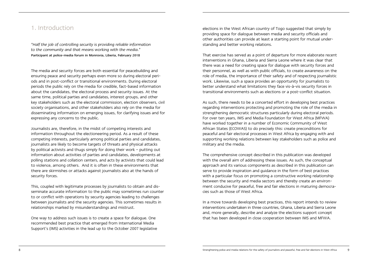## <span id="page-4-0"></span>1. Introduction

*"Half the job of controlling security is providing reliable information to the community and that means working with the media."* Participant at police-media forum in Monrovia, Liberia, February 2018

The media and security forces are both essential for peacebuilding and ensuring peace and security perhaps even more so during electoral periods and in post-conflict or transitional environments. During electoral periods the public rely on the media for credible, fact-based information about the candidates, the electoral process and security issues. At the same time, political parties and candidates, interest groups, and other key stakeholders such as the electoral commission, election observers, civil society organisations, and other stakeholders also rely on the media for disseminating information on emerging issues, for clarifying issues and for expressing any concerns to the public.

Journalists are, therefore, in the midst of competing interests and information throughout the electioneering period. As a result of these competing interests, particularly among political parties and candidates, journalists are likely to become targets of threats and physical attacks by political activists and thugs simply for doing their work – putting out information about activities of parties and candidates, developments at polling stations and collation centers, and acts by activists that could lead to violence, among others. And it is often in these environments that there are skirmishes or attacks against journalists also at the hands of security forces.

This, coupled with legitimate processes by journalists to obtain and disseminate accurate information to the public may sometimes run counter to or conflict with operations by security agencies leading to challenges between journalists and the security agencies. This sometimes results in relationships marked by misunderstandings and mistrust.

One way to address such issues is to create a space for dialogue. One recommended best practice that emerged from International Media Support's (IMS) activities in the lead up to the October 2007 legislative elections in the West African country of Togo suggested that simply by providing space for dialogue between media and security officials and other authorities can provide at least a starting point for mutual understanding and better working relations.

That exercise has served as a point of departure for more elaborate recent interventions in Ghana, Liberia and Sierra Leone where it was clear that there was a need for creating space for dialogue with security forces and their personnel, as well as with public officials, to create awareness on the role of media, the importance of their safety and of respecting journalistic work. Likewise, such a space provides an opportunity for journalists to better understand what limitations they face vis-à-vis security forces in transitional environments such as elections or a post-conflict situation.

As such, there needs to be a concerted effort in developing best practices regarding interventions protecting and promoting the role of the media in strengthening democratic structures particularly during electoral periods. For over ten years, IMS and Media Foundation for West Africa (MFWA) have worked together in a number of Economic Community of West African States (ECOWAS) to do precisely this: create preconditions for peaceful and fair electoral processes in West Africa by engaging with and supporting working relations between key stakeholders such as police and military and the media.

The comprehensive concept described in this publication was developed with the overall aim of addressing these issues. As such, the conceptual approach and its various components as described in this publication can serve to provide inspiration and guidance in the form of best practices with a particular focus on promoting a constructive working relationship between the security and media sectors and thereby create an environment conducive for peaceful, free and fair elections in maturing democracies such as those of West Africa.

In a move towards developing best practices, this report intends to review interventions undertaken in three countries, Ghana, Liberia and Sierra Leone and, more generally, describe and analyze the elections support concept that has been developed in close cooperation between IMS and MFWA.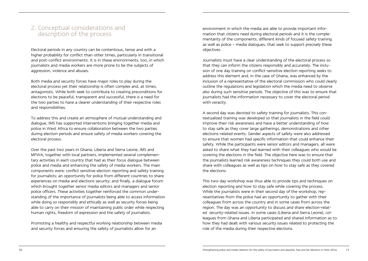## <span id="page-5-0"></span>2. Conceptual considerations and description of the process

Electoral periods in any country can be contentious, tense and with a higher probability for conflict than other times, particularly in transitional and post-conflict environments. It is in these environments, too, in which journalists and media workers are more prone to be the subjects of aggression, violence and abuses.

Both media and security forces have major roles to play during the electoral process yet their relationship is often complex and, at times, antagonistic. While both seek to contribute to creating preconditions for elections to be peaceful, transparent and successful, there is a need for the two parties to have a clearer understanding of their respective roles and responsibilities.

To address this and create an atmosphere of mutual understanding and dialogue, IMS has supported interventions bringing together media and police in West Africa to ensure collaboration between the two parties during election periods and ensure safety of media workers covering the electoral process.

Over the past two years in Ghana, Liberia and Sierra Leone, IMS and MFWA, together with local partners, implemented several complementary activities in each country that had as their focus dialogue between police and media and enhancing the safety of media workers. The main components were: conflict sensitive election reporting and safety training for journalists; an opportunity for police from different countries to share experiences on media and elections security; and finally, a dialogue forum which brought together senior media editors and managers and senior police officers. These activities together reinforced the common understanding of the importance of journalists being able to access information while doing so responsibly and ethically as well as security forces being able to carry on their mission of maintaining public order while respecting human rights, freedom of expression and the safety of journalists.

Promoting a healthy and respectful working relationship between media and security forces and ensuring the safety of journalists allow for an

environment in which the media are able to provide important information that citizens need during electoral periods and it is the complementarity of the components, different kinds of focused safety training as well as police – media dialogues, that seek to support precisely these objectives.

Journalists must have a clear understanding of the electoral process so that they can inform the citizens responsibly and accurately. The inclusion of one day training on conflict-sensitive election reporting seeks to address this element and, in the case of Ghana, was enhanced by the inclusion of a representative of the electoral commission who could clearly outline the regulations and legislation which the media need to observe also during such sensitive periods. The objective of this was to ensure that journalists had the information necessary to cover the electoral period with veracity.

A second day was devoted to safety training for journalists. This contextualized training was developed so that journalists in the field could improve their risk awareness and have a better understanding of how to stay safe as they cover large gatherings, demonstrations and other elections-related events. Gender aspects of safety were also addressed to ensure that women had specific information that could enhance their safety. While the participants were senior editors and managers, all were asked to share what they had learned with their colleagues who would be covering the elections in the field. The objective here was to ensure that the journalists learned risk awareness techniques they could both use and share with colleagues as well as tips on how to stay safe as they covered the elections.

This two-day workshop was thus able to provide tips and techniques on election reporting and how to stay safe while covering the process. While the journalists were in their second day of the workshop, representatives from the police had an opportunity to gather with their colleagues from across the country and in some cases from across the region. The day was an opportunity to discuss and share election-related security-related issues. In some cases (Liberia and Sierra Leone), colleagues from Ghana and Liberia participated and shared information as to how they had dealt with various security issues related to protecting the role of the media during their respective elections.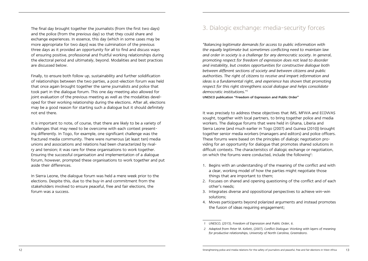<span id="page-6-0"></span>The final day brought together the journalists (from the first two days) and the police (from the previous day) so that they could share and exchange experiences. In essence, this day (which in some cases may be more appropriate for two days) was the culmination of the previous three days as it provided an opportunity for all to find and discuss ways of ensuring positive, professional and fruitful working relationships during the electoral period and ultimately, beyond. Modalities and best practices are discussed below.

Finally, to ensure both follow up, sustainability and further solidification of relationships between the two parties, a post-election forum was held that once again brought together the same journalists and police that took part in the dialogue forum. This one day meeting also allowed for joint evaluation of the previous meeting as well as the modalities developed for their working relationship during the elections. After all, elections may be a good reason for starting such a dialogue but it should definitely not end there.

It is important to note, of course, that there are likely to be a variety of challenges that may need to be overcome with each context presenting differently. In Togo, for example, one significant challenge was the fractured media community. There were numerous (at least ten) media unions and associations and relations had been characterized by rivalry and tension; it was rare for these organisations to work together. Ensuring the successful organisation and implementation of a dialogue forum, however, prompted these organisations to work together and put aside their differences.

In Sierra Leone, the dialogue forum was held a mere week prior to the elections. Despite this, due to the buy-in and commitment from the stakeholders involved to ensure peaceful, free and fair elections, the forum was a success.

# 3. Dialogic exchange: media-security forces

*"Balancing legitimate demands for access to public information with the equally legitimate but sometimes conflicting need to maintain law and order in society is a challenge for any democratic society. In general, promoting respect for freedom of expression does not lead to disorder and instability, but creates opportunities for constructive dialogue both between different sections of society and between citizens and public authorities. The right of citizens to receive and impart information and*  ideas is a fundamental right, and experience has shown that promoting *respect for this right strengthens social dialogue and helps consolidate democratic institutions."<sup>1</sup>*

UNESCO publication "Freedom of Expression and Public Order"

It was precisely to address these objectives that IMS, MFWA and ECOWAS sought, together with local partners, to bring together police and media workers. The dialogue forums that were held in Ghana, Liberia and Sierra Leone (and much earlier in Togo (2007) and Guinea (2010)) brought together senior media workers (managers and editors) and police officers. These forums were based on the principles of dialogic negotiation providing for an opportunity for dialogue that promotes shared solutions in difficult contexts. The characteristics of dialogic exchange or negotiation, on which the forums were conducted, include the following<sup>2</sup>:

- 1. Begins with an understanding of the meaning of the conflict and with a clear, working model of how the parties might negotiate those things that are important to them;
- 2. Focuses on shared and opening questioning of the conflict and of each other's needs;
- 3. Integrates diverse and oppositional perspectives to achieve win-win solutions;
- 4. Moves participants beyond polarized arguments and instead promotes the fusion of ideas requiring engagement;

*<sup>1</sup> UNESCO, (2015), Freedom of Expression and Public Order, 6.*

*<sup>2</sup> Adapted from Peter M. Kellett, (2007), Conflict Dialogue: Working with layers of meaning for productive relationships, University of North Carolina, Greensboro.*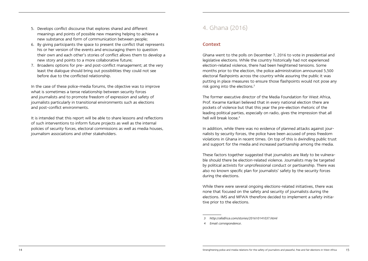- <span id="page-7-0"></span>5. Develops conflict discourse that explores shared and different meanings and points of possible new meaning helping to achieve a new substance and form of communication between people;
- 6. By giving participants the space to present the conflict that represents his or her version of the events and encouraging them to question their own and each other's stories of conflict allows them to develop a new story and points to a more collaborative future;
- 7. Broadens options for pre- and post-conflict management; at the very least the dialogue should bring out possibilities they could not see before due to the conflicted relationship.

In the case of these police-media forums, the objective was to improve what is sometimes a tense relationship between security forces and journalists and to promote freedom of expression and safety of journalists particularly in transitional environments such as elections and post-conflict environments.

It is intended that this report will be able to share lessons and reflections of such interventions to inform future projects as well as the internal policies of security forces, electoral commissions as well as media houses, journalism associations and other stakeholders.

## 4. Ghana (2016)

### Context

Ghana went to the polls on December 7, 2016 to vote in presidential and legislative elections. While the country historically had not experienced election-related violence, there had been heightened tensions. Some months prior to the election, the police administration announced 5,500 electoral flashpoints across the country while assuring the public it was putting in place measures to ensure those flashpoints would not pose any risk going into the elections.3

The former executive director of the Media Foundation for West Africa, Prof. Kwame Karikari believed that in every national election there are pockets of violence but that this year the pre-election rhetoric of the leading political parties, especially on radio, gives the impression that all hell will break loose.4

In addition, while there was no evidence of planned attacks against journalists by security forces, the police have been accused of press freedom violations in Ghana in recent times. On top of this is dwindling public trust and support for the media and increased partisanship among the media.

These factors together suggested that journalists are likely to be vulnerable should there be election-related violence. Journalists may be targeted by political activists for unprofessional conduct or partisanship. There was also no known specific plan for journalists' safety by the security forces during the elections.

While there were several ongoing elections-related initiatives, there was none that focused on the safety and security of journalists during the elections. IMS and MFWA therefore decided to implement a safety initiative prior to the elections.

*4 Email correspondence.*

*<sup>3</sup> http://allafrica.com/stories/201610141037.html*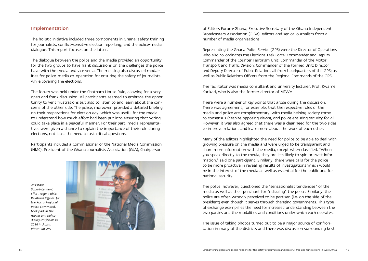### <span id="page-8-0"></span>Implementation

The holistic initiative included three components in Ghana: safety training for journalists, conflict-sensitive election reporting, and the police-media dialogue. This report focuses on the latter.

The dialogue between the police and the media provided an opportunity for the two groups to have frank discussions on the challenges the police have with the media and vice versa. The meeting also discussed modalities for police-media co-operation for ensuring the safety of journalists while covering the elections.

The forum was held under the Chatham House Rule, allowing for a very open and frank discussion. All participants seemed to embrace the opportunity to vent frustrations but also to listen to and learn about the concerns of the other side. The police, moreover, provided a detailed briefing on their preparations for election day, which was useful for the media to understand how much effort had been put into ensuring that voting could take place in a peaceful manner. For their part, media representatives were given a chance to explain the importance of their role during elections, not least the need to ask critical questions.

Participants included a Commissioner of the National Media Commission (NMC), President of the Ghana Journalists Association (GJA), Chairperson

*Assistant Superintendent Effia Tenge, Public Relations Officer for the Accra Regional Police Command, took part in the media and police dialogues forum in 2016 in Accra. Photo: MFWA*



of Editors Forum-Ghana, Executive Secretary of the Ghana Independent Broadcasters Association (GIBA), editors and senior journalists from a number of media organisations.

Representing the Ghana Police Service (GPS) were the Director of Operations who also co-ordinates the Elections Task Force; Commander and Deputy Commander of the Counter Terrorism Unit; Commander of the Motor Transport and Traffic Division; Commander of the Formed Unit; Director and Deputy Director of Public Relations all from headquarters of the GPS; as well as Public Relations Officers from the Regional Commands of the GPS.

The facilitator was media consultant and university lecturer, Prof. Kwame Karikari, who is also the former director of MFWA.

There were a number of key points that arose during the discussion. There was agreement, for example, that the respective roles of the media and police are complementary, with media helping society come to consensus (despite opposing views), and police ensuring security for all. However, it was also agreed that there was a clear need for the two sides to improve relations and learn more about the work of each other.

Many of the editors highlighted the need for police to be able to deal with growing pressure on the media and were urged to be transparent and share more information with the media, except when classified. "When you speak directly to the media, they are less likely to spin or twist information," said one participant. Similarly, there were calls for the police to be more proactive in revealing results of investigations which would be in the interest of the media as well as essential for the public and for national security.

The police, however, questioned the "sensationalist tendencies" of the media as well as their penchant for "ridiculing" the police. Similarly, the police are often wrongly perceived to be partisan (i.e. on the side of the president) even though it serves through changing governments. This type of exchange exemplifies the need for increased understanding between the two parties and the modalities and conditions under which each operates.

The issue of taking photos turned out to be a major source of confrontation in many of the districts and there was discussion surrounding best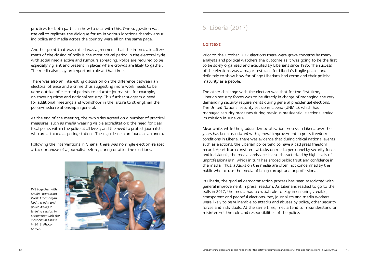<span id="page-9-0"></span>practices for both parties in how to deal with this. One suggestion was the call to replicate the dialogue forum in various locations thereby ensuring police and media across the country were all on the same page.

Another point that was raised was agreement that the immediate aftermath of the closing of polls is the most critical period in the electoral cycle with social media active and rumours spreading. Police are required to be especially vigilant and present in places where crowds are likely to gather. The media also play an important role at that time.

There was also an interesting discussion on the difference between an electoral offence and a crime thus suggesting more work needs to be done outside of electoral periods to educate journalists, for example, on covering crime and national security. This further suggests a need for additional meetings and workshops in the future to strengthen the police-media relationship in general.

At the end of the meeting, the two sides agreed on a number of practical measures, such as media wearing visible accreditation; the need for clear focal points within the police at all levels; and the need to protect journalists who are attacked at polling stations. These guidelines can found as an annex.

Following the interventions in Ghana, there was no single election-related attack or abuse of a journalist before, during or after the elections.

*IMS together with Media Foundation West Africa organised a media and police dialogue training session in connection with the elections in Ghana in 2016. Photo: MFWA*



# 5. Liberia (2017)

### Context

Prior to the October 2017 elections there were grave concerns by many analysts and political watchers the outcome as it was going to be the first to be solely organized and executed by Liberians since 1985. The success of the elections was a major test case for Liberia's fragile peace, and definitely to show how far of age Liberians had come and their political maturity as a people.

The other challenge with the election was that for the first time, Liberian security forces was to be directly in charge of managing the very demanding security requirements during general presidential elections. The United Nations' security set up in Liberia (UNMIL), which had managed security processes during previous presidential elections, ended its mission in June 2016.

Meanwhile, while the gradual democratization process in Liberia over the years has been associated with general improvement in press freedom conditions in Liberia, there was evidence that during critical national events such as elections, the Liberian police tend to have a bad press freedom record. Apart from consistent attacks on media personnel by security forces and individuals, the media landscape is also characterized by high levels of unprofessionalism, which in turn has eroded public trust and confidence in the media. Thus, attacks on the media are often not condemned by the public who accuse the media of being corrupt and unprofessional.

In Liberia, the gradual democratization process has been associated with general improvement in press freedom. As Liberians readied to go to the polls in 2017, the media had a crucial role to play in ensuring credible, transparent and peaceful elections. Yet, journalists and media workers were likely to be vulnerable to attacks and abuses by police, other security forces and individuals. At the same time, media tend to misunderstand or misinterpret the role and responsibilities of the police.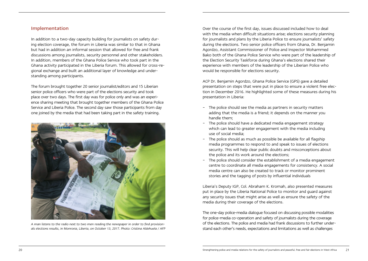### <span id="page-10-0"></span>Implementation

In addition to a two-day capacity building for journalists on safety during election coverage, the forum in Liberia was similar to that in Ghana but had in addition an informal session that allowed for free and frank discussions among journalists, security personnel and other stakeholders. In addition, members of the Ghana Police Service who took part in the Ghana activity participated in the Liberia forum. This allowed for cross-regional exchange and built an additional layer of knowledge and understanding among participants.

The forum brought together 20 senior journalist/editors and 15 Liberian senior police officers who were part of the elections security and took place over two days. The first day was for police only and was an experience sharing meeting that brought together members of the Ghana Police Service and Liberia Police. The second day saw those participants from day one joined by the media that had been taking part in the safety training.



*A man listens to the radio next to two men reading the newspaper in order to find provisionals elections results, in Monrovia, Liberia, on October 13, 2017. Photo: Cristina Aldehuela / AFP*

Over the course of the first day, issues discussed included how to deal with the media when difficult situations arise; elections security planning for journalists and plans by the Liberia Police to ensure journalists' safety during the elections. Two senior police officers from Ghana, Dr. Benjamin Agordzo, Assistant Commissioner of Police and Inspector Mohammed Bako both of the Ghana Police Service who were part of the leadership of the Election Security Taskforce during Ghana's elections shared their experience with members of the leadership of the Liberian Police who would be responsible for elections security.

ACP Dr. Benjamin Agordzo, Ghana Police Service (GPS) gave a detailed presentation on steps that were put in place to ensure a violent free election in December 2016. He highlighted some of these measures during his presentation in Liberia:

- The police should see the media as partners in security matters adding that the media is a friend; it depends on the manner you handle them;
- The police should have a dedicated media engagement strategy which can lead to greater engagement with the media including use of social media;
- The police should as much as possible be available for all flagship media programmes to respond to and speak to issues of elections security. This will help clear public doubts and misconceptions about the police and its work around the elections;
- The police should consider the establishment of a media engagement centre to coordinate all media engagements for consistency. A social media centre can also be created to track or monitor prominent stories and the tagging of posts by influential individuals

Liberia's Deputy IGP, Col. Abraham K. Kromah, also presented measures put in place by the Liberia National Police to monitor and guard against any security issues that might arise as well as ensure the safety of the media during their coverage of the elections.

The one-day police-media dialogue focused on discussing possible modalities for police-media co-operation and safety of journalists during the coverage of the elections. The police and media had frank discussions to further understand each other's needs, expectations and limitations as well as challenges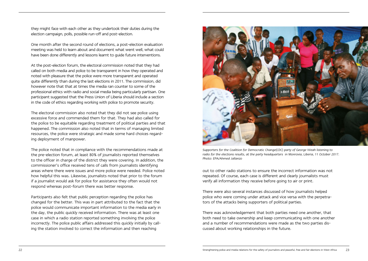they might face with each other as they undertook their duties during the election campaign, polls, possible run-off and post-election.

One month after the second round of elections, a post-election evaluation meeting was held to learn about and document what went well, what could have been done differently and lessons learnt to guide future interventions.

At the post-election forum, the electoral commission noted that they had called on both media and police to be transparent in how they operated and noted with pleasure that the police were more transparent and operated quite differently than during the last elections in 2011. The commission, did however note that that at times the media ran counter to some of the professional ethics with radio and social media being particularly partisan. One participant suggested that the Press Union of Liberia should include a section in the code of ethics regarding working with police to promote security.

The electoral commission also noted that they did not see police using excessive force and commended them for that. They had also called for the police to be equitable regarding treatment of political parties and that happened. The commission also noted that in terms of managing limited resources, the police were strategic and made some hard choices regarding deployment of manpower.

The police noted that in compliance with the recommendations made at the pre-election forum, at least 80% of journalists reported themselves to the officer in charge of the district they were covering. In addition, the commissioner's office received tens of calls from journalists identifying areas where there were issues and more police were needed. Police noted how helpful this was. Likewise, journalists noted that prior to the forum if a journalist would ask for police for assistance they often would not respond whereas post-forum there was better response.

Participants also felt that public perception regarding the police has changed for the better. This was in part attributed to the fact that the police would communicate important information to the media early in the day, the public quickly received information. There was at least one case in which a radio station reported something involving the police incorrectly. The police public affairs addressed this quickly initially by calling the station involved to correct the information and then reaching



*Supporters for the Coalition for Democratic Change(CDC) party of George Weah listening to*  radio for the elections results, at the party headquarters in Monrovia, Liberia, 11 October 2017. *Photo: EPA/Ahmed Jallanzo*

out to other radio stations to ensure the incorrect information was not repeated. Of course, each case is different and clearly journalists must verify all information they receive before going to air or print.

There were also several instances discussed of how journalists helped police who were coming under attack and vice versa with the perpetrators of the attacks being supporters of political parties.

There was acknowledgement that both parties need one another, that both need to take ownership and keep communicating with one another and a number of recommendations were made as the two parties discussed about working relationships in the future.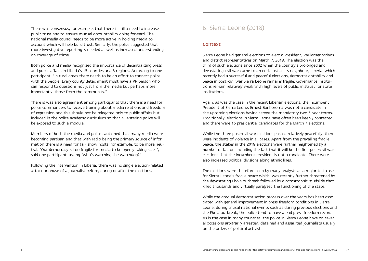<span id="page-12-0"></span>There was consensus, for example, that there is still a need to increase public trust and to ensure mutual accountability going forward. The national media council needs to be more active in holding media to account which will help build trust. Similarly, the police suggested that more investigative reporting is needed as well as increased understanding on coverage of crime.

Both police and media recognized the importance of decentralizing press and public affairs in Liberia's 15 counties and 5 regions. According to one participant: "In rural areas there needs to be an effort to connect police with the people. Every county detachment must have a PR person who can respond to questions not just from the media but perhaps more importantly, those from the community."

There is was also agreement among participants that there is a need for police commanders to receive training about media relations and freedom of expression and this should not be relegated only to public affairs but included in the police academy curriculum so that all entering police will be exposed to such a module.

Members of both the media and police cautioned that many media were becoming partisan and that with radio being the primary source of information there is a need for talk show hosts, for example, to be more neutral. "Our democracy is too fragile for media to be openly taking sides", said one participant, asking "who's watching the watchdog?"

Following the intervention in Liberia, there was no single election-related attack or abuse of a journalist before, during or after the elections.

## 6. Sierra Leone (2018)

### Context

Sierra Leone held general elections to elect a President, Parliamentarians and district representatives on March 7, 2018. The election was the third of such elections since 2002 when the country's prolonged and devastating civil war came to an end. Just as its neighbour, Liberia, which recently had a successful and peaceful elections, democratic stability and peace in post-civil war Sierra Leone remains fragile. Governance institutions remain relatively weak with high levels of public mistrust for state institutions.

Again, as was the case in the recent Liberian elections, the incumbent President of Sierra Leone, Ernest Bai Koroma was not a candidate in the upcoming elections having served the mandatory two 5-year terms. Traditionally, elections in Sierra Leone have often been keenly contested and there were 16 presidential candidates for the March 7 elections.

While the three post-civil war elections passed relatively peacefully, there were incidents of violence in all cases. Apart from the prevailing fragile peace, the stakes in the 2018 elections were further heightened by a number of factors including the fact that it will be the first post-civil war elections that the incumbent president is not a candidate. There were also increased political divisions along ethnic lines.

The elections were therefore seen by many analysts as a major test case for Sierra Leone's fragile peace which, was recently further threatened by the devastating Ebola outbreak followed by a catastrophic mudslide that killed thousands and virtually paralysed the functioning of the state.

While the gradual democratisation process over the years has been associated with general improvement in press freedom conditions in Sierra Leone, during critical national events such as during previous elections and the Ebola outbreak, the police tend to have a bad press freedom record. As is the case in many countries, the police in Sierra Leone have on several occasions arbitrarily arrested, detained and assaulted journalists usually on the orders of political activists.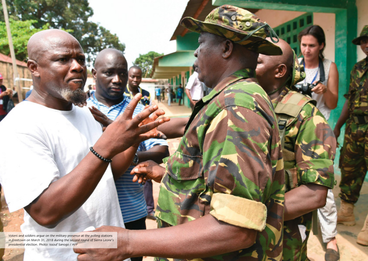*Voters and soldiers argue on the military presence at the polling stations in Freetown on March 31, 2018 during the second round of Sierra Leone's presidential election. Photo: Issouf Sanogo / AFP*

26 Strength police and media relations for the safety of journalists and peaceful, free and peaceful, free and peaceful, free and fair elections in West Africa 27, and fair elections in West Africa 27, and the safety of th

**START COMPANY**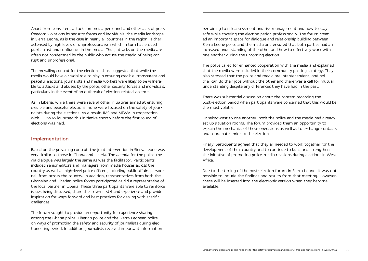<span id="page-14-0"></span>Apart from consistent attacks on media personnel and other acts of press freedom violations by security forces and individuals, the media landscape in Sierra Leone, as is the case in nearly all countries in the region, is characterised by high levels of unprofessionalism which in turn has eroded public trust and confidence in the media. Thus, attacks on the media are often not condemned by the public who accuse the media of being corrupt and unprofessional.

The prevailing context for the elections, thus, suggested that while the media would have a crucial role to play in ensuring credible, transparent and peaceful elections, journalists and media workers were likely to be vulnerable to attacks and abuses by the police, other security forces and individuals, particularly in the event of an outbreak of election-related violence.

As in Liberia, while there were several other initiatives aimed at ensuring credible and peaceful elections, none were focused on the safety of journalists during the elections. As a result, IMS and MFWA in cooperation with ECOWAS launched this initiative shortly before the first round of elections was held.

### Implementation

Based on the prevailing context, the joint intervention in Sierra Leone was very similar to those in Ghana and Liberia. The agenda for the police-media dialogue was largely the same as was the facilitator. Participants included senior editors and managers from media houses across the country as well as high-level police officers, including public affairs personnel, from across the country. In addition, representatives from both the Ghanaian and Liberian police forces participated as did a representative of the local partner in Liberia. These three participants were able to reinforce issues being discussed, share their own first-hand experience and provide inspiration for ways forward and best practices for dealing with specific challenges.

The forum sought to provide an opportunity for experience sharing among the Ghana police, Liberian police and the Sierra Leonean police on ways of promoting the safety and security of journalists during electioneering period. In addition, journalists received important information pertaining to risk assessment and risk management and how to stay safe while covering the election period professionally. The forum created an important space for dialogue and relationship building between Sierra Leone police and the media and ensured that both parties had an increased understanding of the other and how to effectively work with one another during the upcoming election.

The police called for enhanced cooperation with the media and explained that the media were included in their community policing strategy. They also stressed that the police and media are interdependent, and neither can do their jobs without the other and there was a call for mutual understanding despite any differences they have had in the past.

There was substantial discussion about the concern regarding the post-election period when participants were concerned that this would be the most volatile.

Unbeknownst to one another, both the police and the media had already set up situation rooms. The forum provided them an opportunity to explain the mechanics of these operations as well as to exchange contacts and coordinates prior to the elections.

Finally, participants agreed that they all needed to work together for the development of their country and to continue to build and strengthen the initiative of promoting police-media relations during elections in West Africa.

Due to the timing of the post-election forum in Sierra Leone, it was not possible to include the findings and results from that meeting. However, these will be inserted into the electronic version when they become available.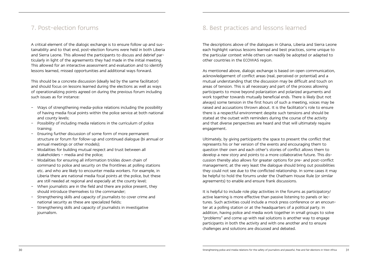## <span id="page-15-0"></span>7. Post-election forums

A critical element of the dialogic exchange is to ensure follow up and sustainability and to that end, post-election forums were held in both Liberia and Sierra Leone. This allowed the participants to discuss and debrief particularly in light of the agreements they had made in the initial meeting. This allowed for an interactive assessment and evaluation and to identify lessons learned, missed opportunities and additional ways forward.

This should be a concrete discussion (ideally led by the same facilitator) and should focus on lessons learned during the elections as well as ways of operationalizing points agreed on during the previous forum including such issues as for instance:

- Ways of strengthening media-police relations including the possibility of having media focal points within the police service at both national and county levels;
- Possibility of including media relations in the curriculum of police training;
- Ensuring further discussion of some form of more permanent structure or forum for follow-up and continued dialogue (bi annual or annual meetings or other models);
- Modalities for building mutual respect and trust between all stakeholders – media and the police;
- Modalities for ensuring all information trickles down chain of command to police and security on the frontlines at polling stations etc. and who are likely to encounter media workers. For example, in Liberia there are national media focal points at the police, but these are still needed at regional and especially at the county level;
- When journalists are in the field and there are police present, they should introduce themselves to the commander;
- Strengthening skills and capacity of journalists to cover crime and national security as these are specialized fields;
- Strengthening skills and capacity of journalists in investigative journalism.

# 8. Best practices and lessons learned

The descriptions above of the dialogues in Ghana, Liberia and Sierra Leone each highlight various lessons learned and best practices, some unique to the particular context while others can readily be adopted or adapted to other countries in the ECOWAS region.

As mentioned above, dialogic exchange is based on open communication, acknowledgement of conflict areas (real, perceived or potential) and a mutual understanding that the discussion may be difficult and touch on areas of tension. This is all necessary and part of the process allowing participants to move beyond polarization and polarized arguments and work together towards mutually beneficial ends. There is likely (but not always) some tension in the first hours of such a meeting, voices may be raised and accusations thrown about. It is the facilitator's role to ensure there is a respectful environment despite such tensions and should be stated at the outset with reminders during the course of the activity and that diverse perspectives are heard and that will ultimately require engagement.

Ultimately, by giving participants the space to present the conflict that represents his or her version of the events and encouraging them to question their own and each other's stories of conflict allows them to develop a new story and points to a more collaborative future. This discussion thereby also allows for greater options for pre- and post-conflict management; at the very least the dialogue should bring out possibilities they could not see due to the conflicted relationship. In some cases it may be helpful to hold the forums under the Chatham House Rule (or similar agreements) to enable and ensure frank discussions.

It is helpful to include role play activities in the forums as participatory/ active learning is more effective than passive listening to panels or lectures. Such activities could include a mock press conference or an encounter at a polling station or at the headquarters of a political party. In addition, having police and media work together in small groups to solve "problems" and come up with real solutions is another way to engage participants in both the activity and with one another and to ensure challenges and solutions are discussed and debated.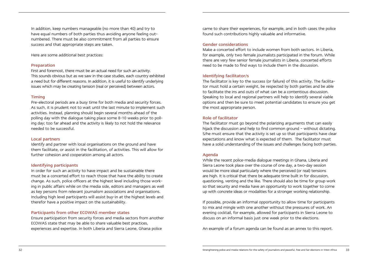In addition, keep numbers manageable (no more than 40) and try to have equal numbers of both parties thus avoiding anyone feeling outnumbered. There must be also commitment from all parties to ensure success and that appropriate steps are taken.

Here are some additional best practices:

#### Preparation

First and foremost, there must be an actual need for such an activity. This sounds obvious but as we saw in the case studies, each country exhibited a need but for different reasons. In addition, it is useful to identify underlying issues which may be creating tension (real or perceived) between actors.

#### Timing

Pre-electoral periods are a busy time for both media and security forces. As such, it is prudent not to wait until the last minute to implement such activities. Instead, planning should begin several months ahead of the polling day with the dialogue taking place some 8-10 weeks prior to polling day; too far ahead and the activity is likely to not hold the relevance needed to be successful.

#### Local partners

Identify and partner with local organisations on the ground and have them facilitate, or assist in the facilitation, of activities. This will allow for further cohesion and cooperation among all actors.

#### Identifying participants

In order for such an activity to have impact and be sustainable there must be a concerted effort to reach those that have the ability to create change. As such, police officers at the highest level including those working in public affairs while on the media side, editors and managers as well as key persons from relevant journalism associations and organisations. Including high level participants will assist buy-in at the highest levels and therefor have a positive impact on the sustainability.

#### Participants from other ECOWAS member states

Ensure participation from security forces and media sectors from another ECOWAS state that may be able to share valuable best practices, experiences and expertise. In both Liberia and Sierra Leone, Ghana police

came to share their experiences, for example, and in both cases the police found such contributions highly valuable and informative.

#### Gender considerations

Make a concerted effort to include women from both sectors. In Liberia, for example, only two female journalists participated in the forum. While there are very few senior female journalists in Liberia, concerted efforts need to be made to find ways to include them in the discussion.

#### Identifying facilitator/s

The facilitator is key to the success (or failure) of this activity. The facilitator must hold a certain weight, be respected by both parties and be able to facilitate the ins and outs of what can be a contentious discussion. Speaking to local and regional partners will help to identify several viable options and then be sure to meet potential candidates to ensure you get the most appropriate person.

#### Role of facilitator

The facilitator must go beyond the polarizing arguments that can easily hijack the discussion and help to find common ground - without dictating. S/he must ensure that the activity is set up so that participants have clear expectations and know what is expected of them. The facilitator must have a solid understanding of the issues and challenges facing both parties.

#### Agenda

While the recent police-media dialogue meetings in Ghana, Liberia and Sierra Leone took place over the course of one day, a two-day session would be more ideal particularly where the perceived (or real) tensions are high. It is critical that there be adequate time built in for discussion, questioning, venting and the like. There should also be time for group work so that security and media have an opportunity to work together to come up with concrete ideas or modalities for a stronger working relationship.

If possible, provide an informal opportunity to allow time for participants to mix and mingle with one another without the pressures of work. An evening cocktail, for example, allowed for participants in Sierra Leone to discuss on an informal basis just one week prior to the elections.

An example of a forum agenda can be found as an annex to this report.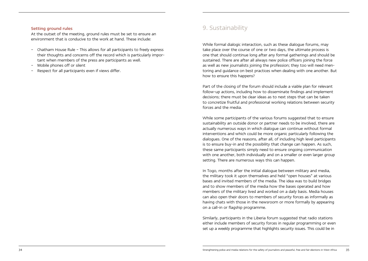#### <span id="page-17-0"></span>Setting ground rules

At the outset of the meeting, ground rules must be set to ensure an environment that is conducive to the work at hand. These include:

- Chatham House Rule This allows for all participants to freely express their thoughts and concerns off the record which is particularly important when members of the press are participants as well.
- Mobile phones off or silent
- Respect for all participants even if views differ.

## 9. Sustainability

While formal dialogic interaction, such as these dialogue forums, may take place over the course of one or two days, the ultimate process is one that should continue long after any formal gatherings and should be sustained. There are after all always new police officers joining the force as well as new journalists joining the profession; they too will need mentoring and guidance on best practices when dealing with one another. But how to ensure this happens?

Part of the closing of the forum should include a viable plan for relevant follow-up actions, including how to disseminate findings and implement decisions; there must be clear ideas as to next steps that can be taken to concretize fruitful and professional working relations between security forces and the media.

While some participants of the various forums suggested that to ensure sustainability an outside donor or partner needs to be involved, there are actually numerous ways in which dialogue can continue without formal interventions and which could be more organic particularly following the dialogues. One of the reasons, after all, of including high level participants is to ensure buy-in and the possibility that change can happen. As such, these same participants simply need to ensure ongoing communication with one another, both individually and on a smaller or even larger group setting. There are numerous ways this can happen.

In Togo, months after the initial dialogue between military and media, the military took it upon themselves and held "open houses" at various bases and invited members of the media. The idea was to build bridges and to show members of the media how the bases operated and how members of the military lived and worked on a daily basis. Media houses can also open their doors to members of security forces as informally as having chats with those in the newsroom or more formally by appearing on a call-in or flagship programme.

Similarly, participants in the Liberia forum suggested that radio stations either include members of security forces in regular programming or even set up a weekly programme that highlights security issues. This could be in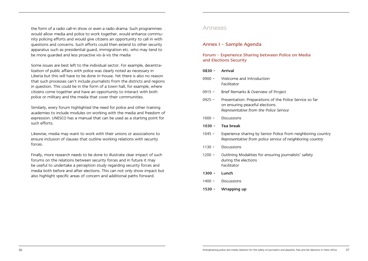<span id="page-18-0"></span>the form of a radio call-in show or even a radio drama. Such programmes would allow media and police to work together, would enhance community policing efforts and would give citizens an opportunity to call in with questions and concerns. Such efforts could then extend to other security apparatus such as presidential guard, immigration etc. who may tend to be more guarded and less proactive vis-à-vis the media

Some issues are best left to the individual sector. For example, decentralization of public affairs with police was clearly noted as necessary in Liberia but this will have to be done in-house. Yet there is also no reason that such processes can't include journalists from the districts and regions in question. This could be in the form of a town hall, for example, where citizens come together and have an opportunity to interact with both police or military and the media that cover their communities.

Similarly, every forum highlighted the need for police and other training academies to include modules on working with the media and freedom of expression. UNESCO has a manual that can be used as a starting point for such efforts.

Likewise, media may want to work with their unions or associations to ensure inclusion of clauses that outline working relations with security forces.

Finally, more research needs to be done to illustrate clear impact of such forums on the relations between security forces and in future it may be useful to undertake a perception study regarding security forces and media both before and after elections. This can not only show impact but also highlight specific areas of concern and additional paths forward.

## Annexes

### Annex I – Sample Agenda

### Forum – Experience Sharing between Police on Media and Elections Security

#### 0830 – Arrival

- 0900 Welcome and Introduction *Facilitator*
- 0915 Brief Remarks & Overview of Project
- 0925 Presentation: Preparations of the Police Service so far on ensuring peaceful elections *Representative from the Police Service*
- 1000 Discussions
- 1030 Tea break
- 1045 Experience sharing by Senior Police from neighboring country *Representative from police service of neighboring country*
- 1130 Discussions
- 1200 Outlining Modalities for ensuring journalists' safety during the elections *Facilitator*
- 1300 Lunch
- 1400 Discussions
- 1530 Wrapping up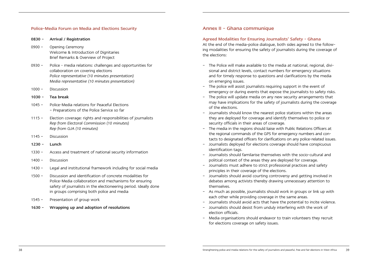#### <span id="page-19-0"></span>Police-Media Forum on Media and Elections Security

#### 0830 – Arrival / Registration

- 0900 Opening Ceremony Welcome & Introduction of Dignitaries Brief Remarks & Overview of Project
- 0930 Police media relations: challenges and opportunities for collaboration on covering elections *Police representative (10 minutes presentation) Media representative (10 minutes presentation)*
- 1000 Discussion

#### 1030 – Tea break

- 1045 Police-Media relations for Peaceful Elections – Preparations of the Police Service so far
- 1115 Election coverage: rights and responsibilities of journalists *Rep from Electoral Commission (10 minutes) Rep from GJA (10 minutes)*
- 1145 Discussion
- 1230 Lunch
- 1330 Access and treatment of national security information
- 1400 Discussion
- 1430 Legal and institutional framework including for social media
- 1500 Discussion and identification of concrete modalities for Police-Media collaboration and mechanisms for ensuring safety of journalists in the electioneering period. Ideally done in groups comprising both police and media
- 1545 Presentation of group work
- 1630 Wrapping up and adoption of resolutions

### Annex II – Ghana communique

#### Agreed Modalities for Ensuring Journalists' Safety - Ghana

At the end of the media-police dialogue, both sides agreed to the following modalities for ensuring the safety of journalists during the coverage of the elections:

- The Police will make available to the media at national, regional, divisional and district levels, contact numbers for emergency situations and for timely response to questions and clarifications by the media on emerging issues.
- The police will assist journalists requiring support in the event of emergency or during events that expose the journalists to safety risks.
- The police will update media on any new security arrangements that may have implications for the safety of journalists during the coverage of the elections.
- Journalists should know the nearest police stations within the areas they are deployed for coverage and identify themselves to police or security officials in their areas of coverage.
- The media in the regions should liaise with Public Relations Officers at the regional commands of the GPS for emergency numbers and contacts to designated officers for clarifications on any police-related issues.
- Journalists deployed for elections coverage should have conspicuous identification tags.
- Journalists should familarise themselves with the socio-cultural and political context of the areas they are deployed for coverage.
- Journalists must adhere to strict professional practices and safety principles in their coverage of the elections.
- Journalists should avoid courting controversy and getting involved in debates among activists thereby drawing unnecessary attention to themselves.
- As much as possible, journalists should work in groups or link up with each other while providing coverage in the same areas.
- Journalists should avoid acts that have the potential to incite violence.
- Journalists should desist from unduly interfering with the work of election officials.
- Media organisations should endeavor to train volunteers they recruit for elections coverage on safety issues.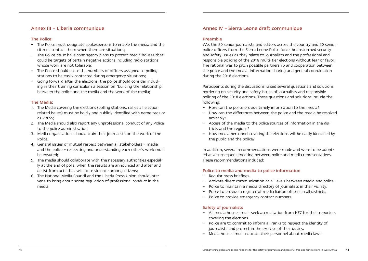### <span id="page-20-0"></span>Annex III – Liberia communique

#### The Police:

- The Police must designate spokespersons to enable the media and the citizens contact them when there are situations;
- The Police must have contingency plans to protect media houses that could be targets of certain negative actions including radio stations whose work are not tolerable;
- The Police should paste the numbers of officers assigned to polling stations to be easily contacted during emergency situations;
- Going forward after the elections, the police should consider including in their training curriculum a session on "building the relationship between the police and the media and the work of the media;

#### The Media:

- 1. The Media covering the elections (polling stations, rallies all election related issues) must be boldly and publicly identified with name tags or as PRESS;
- 2. The Media should also report any unprofessional conduct of any Police to the police administration;
- 3. Media organisations should train their journalists on the work of the Police;
- 4. General issues of mutual respect between all stakeholders media and the police – respecting and understanding each other's work must be ensured;
- 5. The media should collaborate with the necessary authorities especially at the end of polls, when the results are announced and after and desist from acts that will incite violence among citizens;
- 6. The National Media Council and the Liberia Press Union should intervene to bring about some regulation of professional conduct in the media;

## Annex IV – Sierra Leone draft communique

#### Preamble

We, the 20 senior journalists and editors across the country and 20 senior police officers from the Sierra Leone Police force, brainstormed security and safety issues as they relate to journalists and the professional and responsible policing of the 2018 multi-tier elections without fear or favor. The rational was to pitch possible partnership and cooperation between the police and the media, information sharing and general coordination during the 2018 elections.

Participants during the discussions raised several questions and solutions bordering on security and safety issues of journalists and responsible policing of the 2018 elections. These questions and solutions include the following:

- How can the police provide timely information to the media?
- How can the differences between the police and the media be resolved amicably?
- Access of the media to the police sources of information in the districts and the regions?
- How media personnel covering the elections will be easily identified by the public and the police?

In addition, several recommendations were made and were to be adopted at a subsequent meeting between police and media representatives. These recommendations included:

#### Police to media and media to police information

- Regular press briefings.
- Activate direct communication at all levels between media and police.
- Police to maintain a media directory of journalists in their vicinity.
- Police to provide a register of media liaison officers in all districts.
- Police to provide emergency contact numbers.

#### Safety of journalists

- All media houses must seek accreditation from NEC for their reporters covering the elections.
- Police are to commit to inform all ranks to respect the identity of journalists and protect in the exercise of their duties.
- Media houses must educate their personnel about media laws.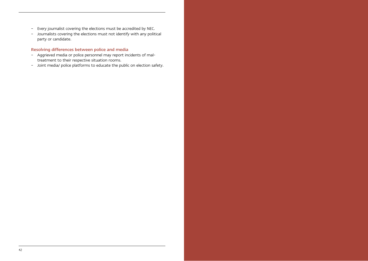- Every journalist covering the elections must be accredited by NEC.
- Journalists covering the elections must not identify with any political party or candidate.

### Resolving differences between police and media

- Aggrieved media or police personnel may report incidents of maltreatment to their respective situation rooms.
- Joint media/ police platforms to educate the public on election safety.